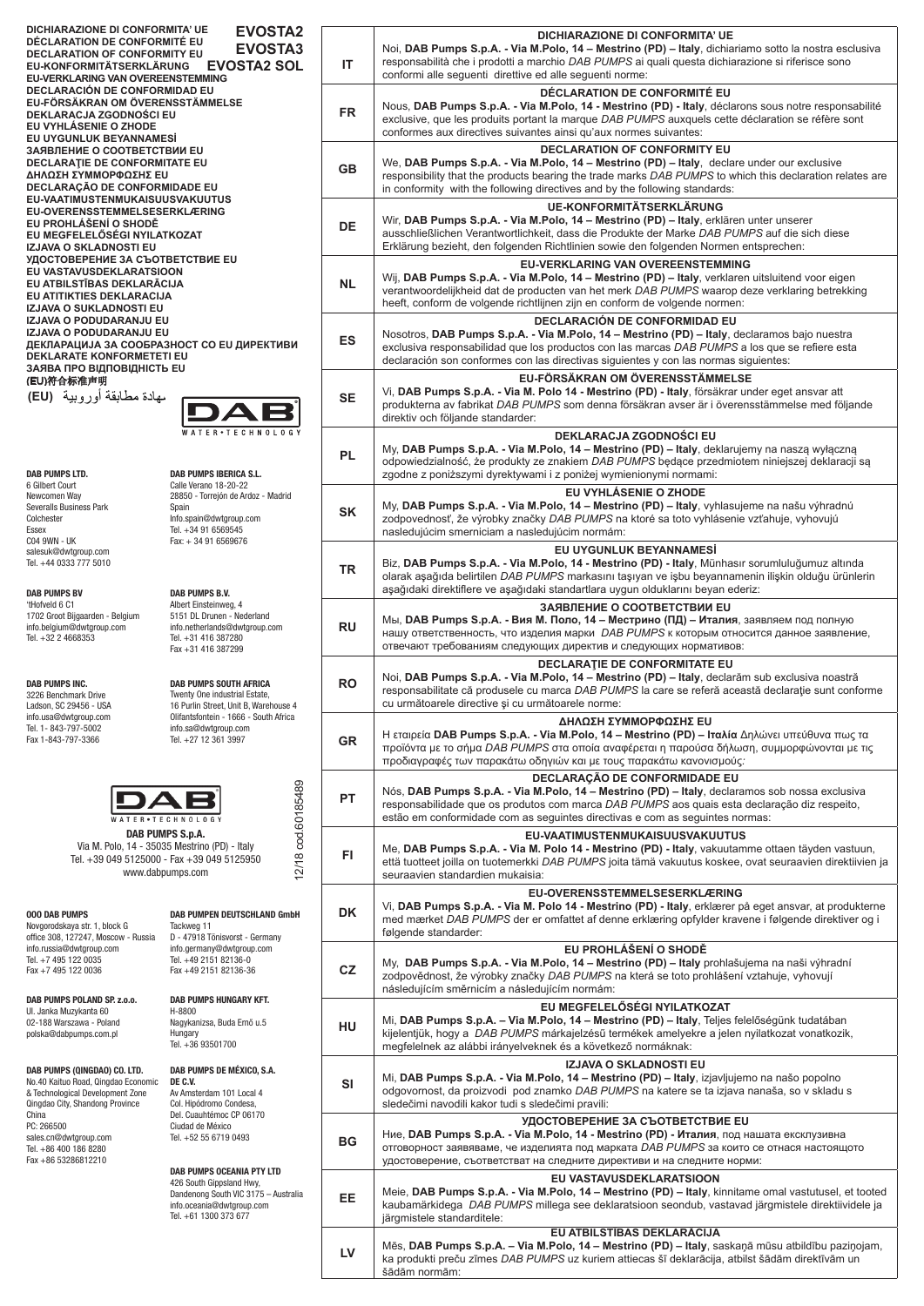**DICHIARAZIONE DI CONFORMITA' UE DÉCLARATION DE CONFORMITÉ EU DECLARATION OF CONFORMITY EU EU-KONFORMITÄTSERKLÄRUNG EU-VERKLARING VAN OVEREENSTEMMING DECLARACIÓN DE CONFORMIDAD EU EU-FÖRSÄKRAN OM ÖVERENSSTÄMMELSE DEKLARACJA ZGODNOŚCI EU EU VYHLÁSENIE O ZHODE EU UYGUNLUK BEYANNAMESİ ЗАЯВЛЕНИЕ О СООТВЕТСТВИИ EU DECLARAŢIE DE CONFORMITATE EU ΔΗΛΩΣΗ ΣΥΜΜΟΡΦΩΣΗΣ EU DECLARAÇÃO DE CONFORMIDADE EU EU-VAATIMUSTENMUKAISUUSVAKUUTUS EU-OVERENSSTEMMELSESERKLÆRING EU PROHLÁŠENÍ O SHODĚ EU MEGFELELŐSÉGI NYILATKOZAT IZJAVA O SKLADNOSTI EU УДОСТОВЕРЕНИЕ ЗА СЪОТВЕТСТВИЕ EU EU VASTAVUSDEKLARATSIOON EU ATBILSTĪBAS DEKLARĀCIJA EU ATITIKTIES DEKLARACIJA IZJAVA O SUKLADNOSTI EU IZJAVA O PODUDARANJU EU IZJAVA O PODUDARANJU EU ДЕКЛАРАЦИЈА ЗА СООБРАЗНОСТ СО EU ДИРЕКТИВИ DEKLARATE KONFORMETETI EU ЗАЯВА ПРО ВІДПОВІДНІСТЬ EU** (EU)符合标准声明 شھادة مطابقة أوروبية (CE**) EU** (**( EVOSTA2 EVOSTA3 EVOSTA2 SOL**

**DAB PUMPS LTD.** 6 Gilbert Court Newcomen Way Severalls Business Park Colchester Essex C04 9WN - UK salesuk@dwtgroup.com Tel. +44 0333 777 5010

**DAB PUMPS BV** 'tHofveld 6 C1 1702 Groot Bijgaarden - Belgium info.belgium@dwtgroup.com Tel. +32 2 4668353

**DAB PUMPS INC.**  3226 Benchmark Drive Ladson, SC 29456 - USA info.usa@dwtgroup.com Tel. 1- 843-797-5002 Fax 1-843-797-3366

**DAB PUMPS B.V.** Albert Einsteinweg, 4 5151 DL Drunen - Nederland info.netherlands@dwtgroup.com Tel. +31 416 387280 Fax +31 416 387299

**DAB PUMPS IBERICA S.L.** Calle Verano 18-20-22 28850 - Torrejón de Ardoz - Madrid  $\overline{1}$ 

Info.spain@dwtgroup.com Tel. +34 91 6569545 Fax: + 34 91 6569676

Spain

**DAB PUMPS SOUTH AFRICA**  Twenty One industrial Estate, 16 Purlin Street, Unit B, Warehouse 4 Olifantsfontein - 1666 - South Africa info.sa@dwtgroup.com Tel. +27 12 361 3997



ER . TECHNOLO **DAB PUMPS S.p.A.** Via M. Polo, 14 - 35035 Mestrino (PD) - Italy Tel. +39 049 5125000 - Fax +39 049 5125950 www.dabpumps.com

| <b>000 DAB PUMPS</b><br>Novgorodskaya str. 1, block G<br>office 308, 127247, Moscow - Russia<br>info.russia@dwtgroup.com<br>Tel. +7 495 122 0035<br>Fax +7 495 122 0036                                                                    | <b>DAB PUMPEN DEUTSCHLAND GmbH</b><br>Tackweg 11<br>D - 47918 Tönisvorst - Germany<br>info.germany@dwtgroup.com<br>Tel. +49 2151 82136-0<br>Fax +49 2151 82136-36    |
|--------------------------------------------------------------------------------------------------------------------------------------------------------------------------------------------------------------------------------------------|----------------------------------------------------------------------------------------------------------------------------------------------------------------------|
| DAB PUMPS POLAND SP. z.o.o.<br>UI. Janka Muzykanta 60<br>02-188 Warszawa - Poland<br>polska@dabpumps.com.pl                                                                                                                                | <b>DAB PUMPS HUNGARY KFT.</b><br>H-8800<br>Nagykanizsa, Buda Ernő u.5<br>Hungary<br>Tel. +36 93501700                                                                |
| DAB PUMPS (QINGDAO) CO. LTD.<br>No.40 Kaituo Road, Qingdao Economic<br>& Technological Development Zone<br>Qinadao City, Shandong Province<br>China<br>PC: 266500<br>sales.cn@dwtgroup.com<br>Tel. +86 400 186 8280<br>Fax +86 53286812210 | DAB PUMPS DE MÉXICO, S.A.<br>DE C.V.<br>Av Amsterdam 101 Local 4<br>Col. Hipódromo Condesa,<br>Del. Cuauhtémoc CP 06170<br>Ciudad de México<br>Tel. +52 55 6719 0493 |

**DAB PUMPS OCEANIA PTY LTD**

426 South Gippsland Hwy, Dandenong South VIC 3175 – Australia info.oceania@dwtgroup.com Tel. +61 1300 373 677

| ▚∠<br>$\sqrt{3}$<br>)L | ΙT        | DICHIARAZIONE DI CONFORMITA' UE<br>Noi, DAB Pumps S.p.A. - Via M.Polo, 14 – Mestrino (PD) – Italy, dichiariamo sotto la nostra esclusiva<br>responsabilità che i prodotti a marchio DAB PUMPS ai quali questa dichiarazione si riferisce sono<br>conformi alle seguenti direttive ed alle seguenti norme:                      |
|------------------------|-----------|--------------------------------------------------------------------------------------------------------------------------------------------------------------------------------------------------------------------------------------------------------------------------------------------------------------------------------|
|                        | <b>FR</b> | <b>DÉCLARATION DE CONFORMITÉ EU</b><br>Nous, DAB Pumps S.p.A. - Via M.Polo, 14 - Mestrino (PD) - Italy, déclarons sous notre responsabilité<br>exclusive, que les produits portant la marque DAB PUMPS auxquels cette déclaration se réfère sont<br>conformes aux directives suivantes ainsi qu'aux normes suivantes:          |
|                        | <b>GB</b> | <b>DECLARATION OF CONFORMITY EU</b><br>We, DAB Pumps S.p.A. - Via M.Polo, 14 – Mestrino (PD) – Italy, declare under our exclusive<br>responsibility that the products bearing the trade marks DAB PUMPS to which this declaration relates are<br>in conformity with the following directives and by the following standards:   |
|                        | <b>DE</b> | <b>UE-KONFORMITÄTSERKLÄRUNG</b><br>Wir, DAB Pumps S.p.A. - Via M.Polo, 14 - Mestrino (PD) - Italy, erklären unter unserer<br>ausschließlichen Verantwortlichkeit, dass die Produkte der Marke DAB PUMPS auf die sich diese<br>Erklärung bezieht, den folgenden Richtlinien sowie den folgenden Normen entsprechen:             |
|                        | <b>NL</b> | EU-VERKLARING VAN OVEREENSTEMMING<br>Wij, DAB Pumps S.p.A. - Via M.Polo, 14 – Mestrino (PD) – Italy, verklaren uitsluitend voor eigen<br>verantwoordelijkheid dat de producten van het merk DAB PUMPS waarop deze verklaring betrekking<br>heeft, conform de volgende richtlijnen zijn en conform de volgende normen:          |
| и                      | <b>ES</b> | <b>DECLARACIÓN DE CONFORMIDAD EU</b><br>Nosotros, DAB Pumps S.p.A. - Via M.Polo, 14 - Mestrino (PD) - Italy, declaramos bajo nuestra<br>exclusiva responsabilidad que los productos con las marcas DAB PUMPS a los que se refiere esta<br>declaración son conformes con las directivas siguientes y con las normas siguientes: |
|                        | <b>SE</b> | EU-FÖRSÄKRAN OM ÖVERENSSTÄMMELSE<br>Vi, DAB Pumps S.p.A. - Via M. Polo 14 - Mestrino (PD) - Italy, försäkrar under eget ansvar att<br>produkterna av fabrikat DAB PUMPS som denna försäkran avser är i överensstämmelse med följande<br>direktiv och följande standarder:                                                      |
|                        | <b>PL</b> | DEKLARACJA ZGODNOŚCI EU<br>My, DAB Pumps S.p.A. - Via M.Polo, 14 - Mestrino (PD) - Italy, deklarujemy na naszą wyłączną<br>odpowiedzialność, że produkty ze znakiem DAB PUMPS będące przedmiotem niniejszej deklaracji są<br>zgodne z poniższymi dyrektywami i z poniżej wymienionymi normami:                                 |
|                        | <b>SK</b> | EU VYHLÁSENIE O ZHODE<br>My, DAB Pumps S.p.A. - Via M.Polo, 14 - Mestrino (PD) - Italy, vyhlasujeme na našu výhradnú<br>zodpovednosť, že výrobky značky DAB PUMPS na ktoré sa toto vyhlásenie vzťahuje, vyhovujú<br>nasledujúcim smerniciam a nasledujúcim normám:                                                             |
|                        | <b>TR</b> | EU UYGUNLUK BEYANNAMESİ<br>Biz, DAB Pumps S.p.A. - Via M.Polo, 14 - Mestrino (PD) - Italy, Münhasır sorumluluğumuz altında<br>olarak aşağıda belirtilen DAB PUMPS markasını taşıyan ve işbu beyannamenin ilişkin olduğu ürünlerin<br>aşağıdaki direktiflere ve aşağıdaki standartlara uygun olduklarını beyan ederiz:          |
|                        | <b>RU</b> | <b>ЗАЯВЛЕНИЕ О СООТВЕТСТВИИ EU</b><br>Мы, DAB Pumps S.p.A. - Вия М. Поло, 14 – Местрино (ПД) – Италия, заявляем под полную<br>нашу ответственность, что изделия марки <i>DAB PUMPS</i> к которым относится данное заявление,<br>отвечают требованиям следующих директив и следующих нормативов:                                |
| 4                      | <b>RO</b> | <b>DECLARATIE DE CONFORMITATE EU</b><br>Noi, DAB Pumps S.p.A. - Via M.Polo, 14 - Mestrino (PD) - Italy, declarăm sub exclusiva noastră<br>responsabilitate că produsele cu marca DAB PUMPS la care se referă această declarație sunt conforme<br>cu următoarele directive și cu următoarele norme:                             |
| a                      | <b>GR</b> | ΔΗΛΩΣΗ ΣΥΜΜΟΡΦΩΣΗΣ ΕU<br>Η εταιρεία DAB Pumps S.p.A. - Via M.Polo, 14 - Mestrino (PD) - Ιταλία Δηλώνει υπεύθυνα πως τα<br>προϊόντα με το σήμα DAB PUMPS στα οποία αναφέρεται η παρούσα δήλωση, συμμορφώνονται με τις<br>προδιαγραφές των παρακάτω οδηγιών και με τους παρακάτω κανονισμούς:                                    |
|                        | <b>PT</b> | DECLARAÇÃO DE CONFORMIDADE EU<br>Nós, DAB Pumps S.p.A. - Via M.Polo, 14 - Mestrino (PD) - Italy, declaramos sob nossa exclusiva<br>responsabilidade que os produtos com marca DAB PUMPS aos quais esta declaração diz respeito,<br>estão em conformidade com as seguintes directivas e com as seguintes normas:                |
| 12/18 cod.60185489     | FI.       | EU-VAATIMUSTENMUKAISUUSVAKUUTUS<br>Me, DAB Pumps S.p.A. - Via M. Polo 14 - Mestrino (PD) - Italy, vakuutamme ottaen täyden vastuun,<br>että tuotteet joilla on tuotemerkki DAB PUMPS joita tämä vakuutus koskee, ovat seuraavien direktiivien ja<br>seuraavien standardien mukaisia:                                           |
| bH                     | DK        | EU-OVERENSSTEMMELSESERKLÆRING<br>Vi, DAB Pumps S.p.A. - Via M. Polo 14 - Mestrino (PD) - Italy, erklærer på eget ansvar, at produkterne<br>med mærket DAB PUMPS der er omfattet af denne erklæring opfylder kravene i følgende direktiver og i<br>følgende standarder:                                                         |
|                        | CZ        | EU PROHLÁŠENÍ O SHODĚ<br>My, DAB Pumps S.p.A. - Via M.Polo, 14 - Mestrino (PD) - Italy prohlašujema na naši výhradní<br>zodpovědnost, že výrobky značky DAB PUMPS na která se toto prohlášení vztahuje, vyhovují<br>následujícím směrnicím a následujícím normám:                                                              |
|                        | HU        | EU MEGFELELŐSÉGI NYILATKOZAT<br>Mi, DAB Pumps S.p.A. - Via M.Polo, 14 - Mestrino (PD) - Italy, Teljes felelőségünk tudatában<br>kijelentjük, hogy a DAB PUMPS márkajelzésű termékek amelyekre a jelen nyilatkozat vonatkozik,<br>megfelelnek az alábbi irányelveknek és a következő normáknak:                                 |
|                        | SI        | <b>IZJAVA O SKLADNOSTI EU</b><br>Mi, DAB Pumps S.p.A. - Via M.Polo, 14 – Mestrino (PD) – Italy, izjavljujemo na našo popolno<br>odgovornost, da proizvodi pod znamko DAB PUMPS na katere se ta izjava nanaša, so v skladu s<br>sledečimi navodili kakor tudi s sledečimi pravili:                                              |
|                        | BG        | УДОСТОВЕРЕНИЕ ЗА СЪОТВЕТСТВИЕ EU<br>Ние, DAB Pumps S.p.A. - Via M.Polo, 14 - Mestrino (PD) - Италия, под нашата ексклузивна<br>отговорност заявяваме, че изделията под марката DAB PUMPS за които се отнася настоящото<br>удостоверение, съответстват на следните директиви и на следните норми:                               |
| alia                   | EE        | EU VASTAVUSDEKLARATSIOON<br>Meie, DAB Pumps S.p.A. - Via M.Polo, 14 - Mestrino (PD) - Italy, kinnitame omal vastutusel, et tooted<br>kaubamärkidega DAB PUMPS millega see deklaratsioon seondub, vastavad järgmistele direktiividele ja<br>järgmistele standarditele:                                                          |
|                        | LV        | EU ATBILSTĪBAS DEKLARĀCIJA<br>Mēs, DAB Pumps S.p.A. - Via M.Polo, 14 - Mestrino (PD) - Italy, saskaņā mūsu atbildību paziņojam,<br>ka produkti preču zīmes DAB PUMPS uz kuriem attiecas šī deklarācija, atbilst šādām direktīvām un<br>šādām normām:                                                                           |